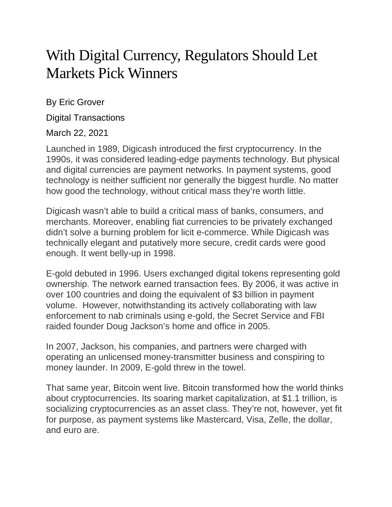## With Digital Currency, Regulators Should Let Markets Pick Winners

By Eric Grover

Digital Transactions

## March 22, 2021

Launched in 1989, Digicash introduced the first cryptocurrency. In the 1990s, it was considered leading-edge payments technology. But physical and digital currencies are payment networks. In payment systems, good technology is neither sufficient nor generally the biggest hurdle. No matter how good the technology, without critical mass they're worth little.

Digicash wasn't able to build a critical mass of banks, consumers, and merchants. Moreover, enabling fiat currencies to be privately exchanged didn't solve a burning problem for licit e-commerce. While Digicash was technically elegant and putatively more secure, credit cards were good enough. It went belly-up in 1998.

E-gold debuted in 1996. Users exchanged digital tokens representing gold ownership. The network earned transaction fees. By 2006, it was active in over 100 countries and doing the equivalent of \$3 billion in payment volume. However, notwithstanding its actively collaborating with law enforcement to nab criminals using e-gold, the Secret Service and FBI raided founder Doug Jackson's home and office in 2005.

In 2007, Jackson, his companies, and partners were charged with operating an unlicensed money-transmitter business and conspiring to money launder. In 2009, E-gold threw in the towel.

That same year, Bitcoin went live. Bitcoin transformed how the world thinks about cryptocurrencies. Its soaring market capitalization, at \$1.1 trillion, is socializing cryptocurrencies as an asset class. They're not, however, yet fit for purpose, as payment systems like Mastercard, Visa, Zelle, the dollar, and euro are.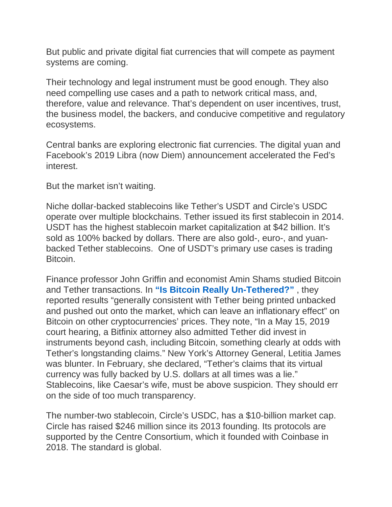But public and private digital fiat currencies that will compete as payment systems are coming.

Their technology and legal instrument must be good enough. They also need compelling use cases and a path to network critical mass, and, therefore, value and relevance. That's dependent on user incentives, trust, the business model, the backers, and conducive competitive and regulatory ecosystems.

Central banks are exploring electronic fiat currencies. The digital yuan and Facebook's 2019 Libra (now Diem) announcement accelerated the Fed's interest.

But the market isn't waiting.

Niche dollar-backed stablecoins like Tether's USDT and Circle's USDC operate over multiple blockchains. Tether issued its first stablecoin in 2014. USDT has the highest stablecoin market capitalization at \$42 billion. It's sold as 100% backed by dollars. There are also gold-, euro-, and yuanbacked Tether stablecoins. One of USDT's primary use cases is trading Bitcoin.

Finance professor John Griffin and economist Amin Shams studied Bitcoin and Tether transactions. In **"Is Bitcoin Really [Un-Tethered?"](https://papers.ssrn.com/sol3/papers.cfm?abstract_id=3195066)** , they reported results "generally consistent with Tether being printed unbacked and pushed out onto the market, which can leave an inflationary effect" on Bitcoin on other cryptocurrencies' prices. They note, "In a May 15, 2019 court hearing, a Bitfinix attorney also admitted Tether did invest in instruments beyond cash, including Bitcoin, something clearly at odds with Tether's longstanding claims." New York's Attorney General, Letitia James was blunter. In February, she declared, "Tether's claims that its virtual currency was fully backed by U.S. dollars at all times was a lie." Stablecoins, like Caesar's wife, must be above suspicion. They should err on the side of too much transparency.

The number-two stablecoin, Circle's USDC, has a \$10-billion market cap. Circle has raised \$246 million since its 2013 founding. Its protocols are supported by the Centre Consortium, which it founded with Coinbase in 2018. The standard is global.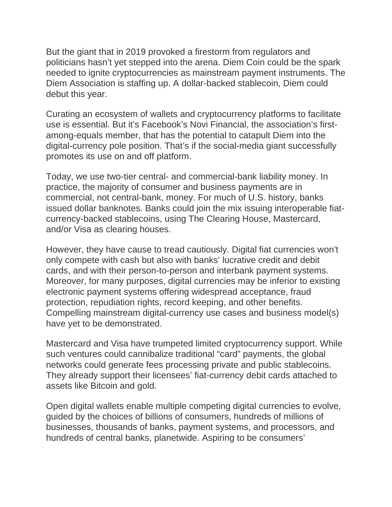But the giant that in 2019 provoked a firestorm from regulators and politicians hasn't yet stepped into the arena. Diem Coin could be the spark needed to ignite cryptocurrencies as mainstream payment instruments. The Diem Association is staffing up. A dollar-backed stablecoin, Diem could debut this year.

Curating an ecosystem of wallets and cryptocurrency platforms to facilitate use is essential. But it's Facebook's Novi Financial, the association's firstamong-equals member, that has the potential to catapult Diem into the digital-currency pole position. That's if the social-media giant successfully promotes its use on and off platform.

Today, we use two-tier central- and commercial-bank liability money. In practice, the majority of consumer and business payments are in commercial, not central-bank, money. For much of U.S. history, banks issued dollar banknotes. Banks could join the mix issuing interoperable fiatcurrency-backed stablecoins, using The Clearing House, Mastercard, and/or Visa as clearing houses.

However, they have cause to tread cautiously. Digital fiat currencies won't only compete with cash but also with banks' lucrative credit and debit cards, and with their person-to-person and interbank payment systems. Moreover, for many purposes, digital currencies may be inferior to existing electronic payment systems offering widespread acceptance, fraud protection, repudiation rights, record keeping, and other benefits. Compelling mainstream digital-currency use cases and business model(s) have yet to be demonstrated.

Mastercard and Visa have trumpeted limited cryptocurrency support. While such ventures could cannibalize traditional "card" payments, the global networks could generate fees processing private and public stablecoins. They already support their licensees' fiat-currency debit cards attached to assets like Bitcoin and gold.

Open digital wallets enable multiple competing digital currencies to evolve, guided by the choices of billions of consumers, hundreds of millions of businesses, thousands of banks, payment systems, and processors, and hundreds of central banks, planetwide. Aspiring to be consumers'